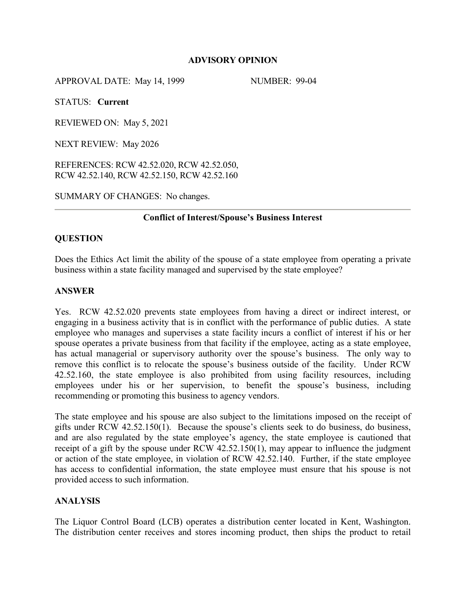# **ADVISORY OPINION**

APPROVAL DATE: May 14, 1999 NUMBER: 99-04

STATUS: **Current**

REVIEWED ON: May 5, 2021

NEXT REVIEW: May 2026

REFERENCES: RCW 42.52.020, RCW 42.52.050, RCW 42.52.140, RCW 42.52.150, RCW 42.52.160

SUMMARY OF CHANGES: No changes.

# **Conflict of Interest/Spouse's Business Interest**

# **QUESTION**

Does the Ethics Act limit the ability of the spouse of a state employee from operating a private business within a state facility managed and supervised by the state employee?

# **ANSWER**

Yes. RCW 42.52.020 prevents state employees from having a direct or indirect interest, or engaging in a business activity that is in conflict with the performance of public duties. A state employee who manages and supervises a state facility incurs a conflict of interest if his or her spouse operates a private business from that facility if the employee, acting as a state employee, has actual managerial or supervisory authority over the spouse's business. The only way to remove this conflict is to relocate the spouse's business outside of the facility. Under RCW 42.52.160, the state employee is also prohibited from using facility resources, including employees under his or her supervision, to benefit the spouse's business, including recommending or promoting this business to agency vendors.

The state employee and his spouse are also subject to the limitations imposed on the receipt of gifts under RCW 42.52.150(1). Because the spouse's clients seek to do business, do business, and are also regulated by the state employee's agency, the state employee is cautioned that receipt of a gift by the spouse under RCW 42.52.150(1), may appear to influence the judgment or action of the state employee, in violation of RCW 42.52.140. Further, if the state employee has access to confidential information, the state employee must ensure that his spouse is not provided access to such information.

# **ANALYSIS**

The Liquor Control Board (LCB) operates a distribution center located in Kent, Washington. The distribution center receives and stores incoming product, then ships the product to retail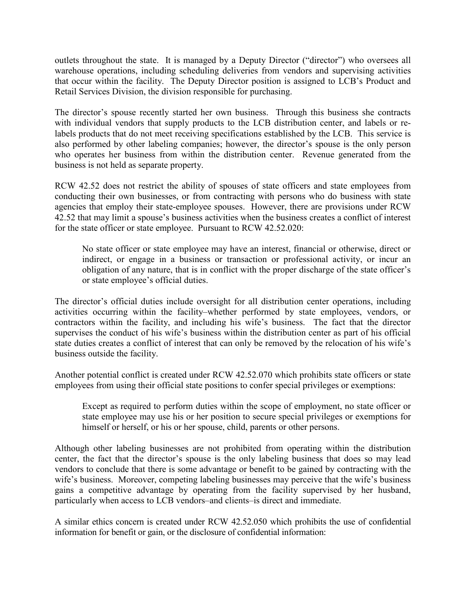outlets throughout the state. It is managed by a Deputy Director ("director") who oversees all warehouse operations, including scheduling deliveries from vendors and supervising activities that occur within the facility. The Deputy Director position is assigned to LCB's Product and Retail Services Division, the division responsible for purchasing.

The director's spouse recently started her own business. Through this business she contracts with individual vendors that supply products to the LCB distribution center, and labels or relabels products that do not meet receiving specifications established by the LCB. This service is also performed by other labeling companies; however, the director's spouse is the only person who operates her business from within the distribution center. Revenue generated from the business is not held as separate property.

RCW 42.52 does not restrict the ability of spouses of state officers and state employees from conducting their own businesses, or from contracting with persons who do business with state agencies that employ their state-employee spouses. However, there are provisions under RCW 42.52 that may limit a spouse's business activities when the business creates a conflict of interest for the state officer or state employee. Pursuant to RCW 42.52.020:

No state officer or state employee may have an interest, financial or otherwise, direct or indirect, or engage in a business or transaction or professional activity, or incur an obligation of any nature, that is in conflict with the proper discharge of the state officer's or state employee's official duties.

The director's official duties include oversight for all distribution center operations, including activities occurring within the facility–whether performed by state employees, vendors, or contractors within the facility, and including his wife's business. The fact that the director supervises the conduct of his wife's business within the distribution center as part of his official state duties creates a conflict of interest that can only be removed by the relocation of his wife's business outside the facility.

Another potential conflict is created under RCW 42.52.070 which prohibits state officers or state employees from using their official state positions to confer special privileges or exemptions:

Except as required to perform duties within the scope of employment, no state officer or state employee may use his or her position to secure special privileges or exemptions for himself or herself, or his or her spouse, child, parents or other persons.

Although other labeling businesses are not prohibited from operating within the distribution center, the fact that the director's spouse is the only labeling business that does so may lead vendors to conclude that there is some advantage or benefit to be gained by contracting with the wife's business. Moreover, competing labeling businesses may perceive that the wife's business gains a competitive advantage by operating from the facility supervised by her husband, particularly when access to LCB vendors–and clients–is direct and immediate.

A similar ethics concern is created under RCW 42.52.050 which prohibits the use of confidential information for benefit or gain, or the disclosure of confidential information: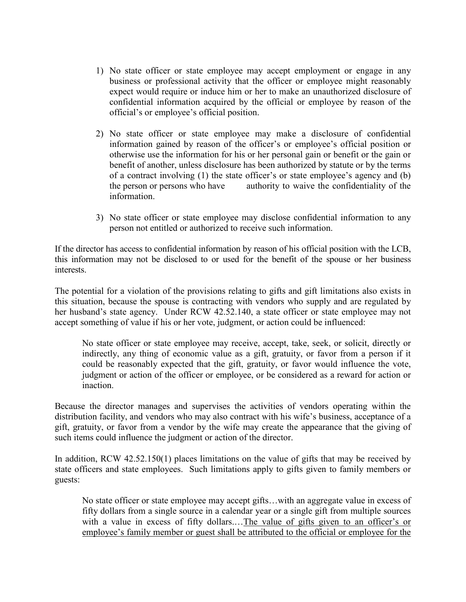- 1) No state officer or state employee may accept employment or engage in any business or professional activity that the officer or employee might reasonably expect would require or induce him or her to make an unauthorized disclosure of confidential information acquired by the official or employee by reason of the official's or employee's official position.
- 2) No state officer or state employee may make a disclosure of confidential information gained by reason of the officer's or employee's official position or otherwise use the information for his or her personal gain or benefit or the gain or benefit of another, unless disclosure has been authorized by statute or by the terms of a contract involving (1) the state officer's or state employee's agency and (b) the person or persons who have authority to waive the confidentiality of the information.
- 3) No state officer or state employee may disclose confidential information to any person not entitled or authorized to receive such information.

If the director has access to confidential information by reason of his official position with the LCB, this information may not be disclosed to or used for the benefit of the spouse or her business interests.

The potential for a violation of the provisions relating to gifts and gift limitations also exists in this situation, because the spouse is contracting with vendors who supply and are regulated by her husband's state agency. Under RCW 42.52.140, a state officer or state employee may not accept something of value if his or her vote, judgment, or action could be influenced:

No state officer or state employee may receive, accept, take, seek, or solicit, directly or indirectly, any thing of economic value as a gift, gratuity, or favor from a person if it could be reasonably expected that the gift, gratuity, or favor would influence the vote, judgment or action of the officer or employee, or be considered as a reward for action or inaction.

Because the director manages and supervises the activities of vendors operating within the distribution facility, and vendors who may also contract with his wife's business, acceptance of a gift, gratuity, or favor from a vendor by the wife may create the appearance that the giving of such items could influence the judgment or action of the director.

In addition, RCW 42.52.150(1) places limitations on the value of gifts that may be received by state officers and state employees. Such limitations apply to gifts given to family members or guests:

No state officer or state employee may accept gifts…with an aggregate value in excess of fifty dollars from a single source in a calendar year or a single gift from multiple sources with a value in excess of fifty dollars.…The value of gifts given to an officer's or employee's family member or guest shall be attributed to the official or employee for the